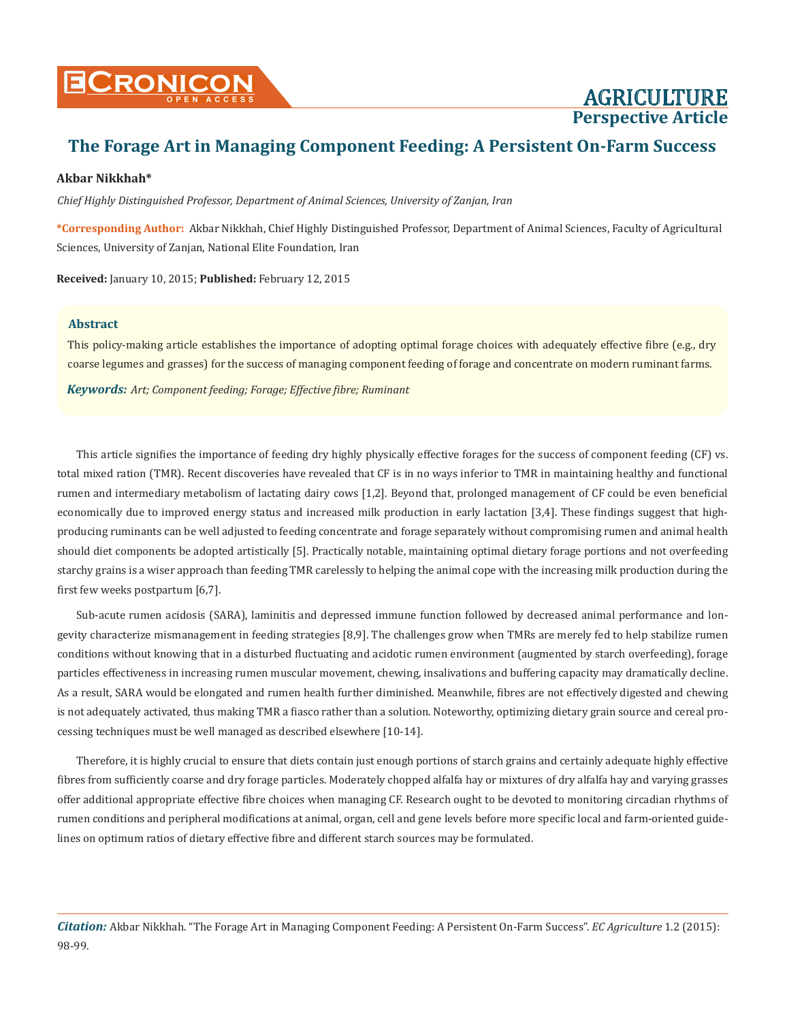

# **AGRICULTURE Perspective Article**

# **The Forage Art in Managing Component Feeding: A Persistent On-Farm Success**

### **Akbar Nikkhah\***

*Chief Highly Distinguished Professor, Department of Animal Sciences, University of Zanjan, Iran*

**\*Corresponding Author:** Akbar Nikkhah, Chief Highly Distinguished Professor, Department of Animal Sciences, Faculty of Agricultural Sciences, University of Zanjan, National Elite Foundation, Iran

**Received:** January 10, 2015; **Published:** February 12, 2015

#### **Abstract**

This policy-making article establishes the importance of adopting optimal forage choices with adequately effective fibre (e.g., dry coarse legumes and grasses) for the success of managing component feeding of forage and concentrate on modern ruminant farms.

*Keywords: Art; Component feeding; Forage; Effective fibre; Ruminant*

This article signifies the importance of feeding dry highly physically effective forages for the success of component feeding (CF) vs. total mixed ration (TMR). Recent discoveries have revealed that CF is in no ways inferior to TMR in maintaining healthy and functional rumen and intermediary metabolism of lactating dairy cows [1,2]. Beyond that, prolonged management of CF could be even beneficial economically due to improved energy status and increased milk production in early lactation [3,4]. These findings suggest that highproducing ruminants can be well adjusted to feeding concentrate and forage separately without compromising rumen and animal health should diet components be adopted artistically [5]. Practically notable, maintaining optimal dietary forage portions and not overfeeding starchy grains is a wiser approach than feeding TMR carelessly to helping the animal cope with the increasing milk production during the first few weeks postpartum [6,7].

Sub-acute rumen acidosis (SARA), laminitis and depressed immune function followed by decreased animal performance and longevity characterize mismanagement in feeding strategies [8,9]. The challenges grow when TMRs are merely fed to help stabilize rumen conditions without knowing that in a disturbed fluctuating and acidotic rumen environment (augmented by starch overfeeding), forage particles effectiveness in increasing rumen muscular movement, chewing, insalivations and buffering capacity may dramatically decline. As a result, SARA would be elongated and rumen health further diminished. Meanwhile, fibres are not effectively digested and chewing is not adequately activated, thus making TMR a fiasco rather than a solution. Noteworthy, optimizing dietary grain source and cereal processing techniques must be well managed as described elsewhere [10-14].

Therefore, it is highly crucial to ensure that diets contain just enough portions of starch grains and certainly adequate highly effective fibres from sufficiently coarse and dry forage particles. Moderately chopped alfalfa hay or mixtures of dry alfalfa hay and varying grasses offer additional appropriate effective fibre choices when managing CF. Research ought to be devoted to monitoring circadian rhythms of rumen conditions and peripheral modifications at animal, organ, cell and gene levels before more specific local and farm-oriented guidelines on optimum ratios of dietary effective fibre and different starch sources may be formulated.

*Citation:* Akbar Nikkhah. "The Forage Art in Managing Component Feeding: A Persistent On-Farm Success". *EC Agriculture* 1.2 (2015): 98-99.